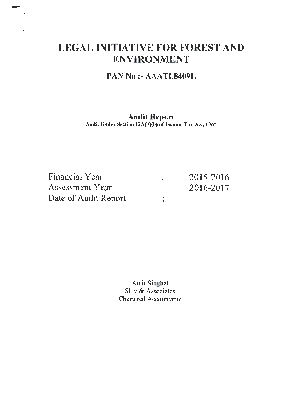## **LEGAL INITIATIVE FOR FOREST AND ENVIRONMENT**

## **PAN No :-AAATL8409L**

## **Audit Report**

Audit Under Section  $12A(1)(b)$  of Income Tax Act, 1961

| Financial Year       | 2015-2016 |
|----------------------|-----------|
| Assessment Year      | 2016-2017 |
| Date of Audit Report |           |

Amit Singha! Shiv & Associates Chartered Accountants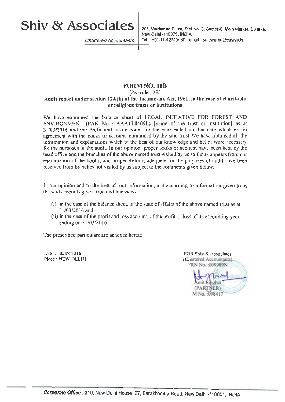# **Shiv & Associates**

Chartered Accountants

208, Vardhman Plaza, Plot No. 3, Sector-6, Main Market, Dwarka, New Delhi -110075, INDIA. Tel. : +91-11-42740080, email : sa.dwarka@cashiv.in

## **FORMNO. lOB**

#### [See rule 17B]

#### **Audit report under section 12A(b) of the Income-tax Act, 1961, in the case of charitable or religious trusts or institutions**

We have examined the balance sheet of LEGAL INITIATIVE FOR FOREST AND ENVIRONMENT **(PAN** No : AAATL8409L) [name of the trust or institution] as at 31/03/2016 and the Profit and loss account for the year ended on that date which are in agreement with the books of account maintained by the said trust We have obtained all the information and explanations which to the best of our knowledge and belief were necessary for the purposes of the audit. In our opinion, proper books of account have been kept by the head office and the branches of the above named trust visited by us so far as appears from our examination of the books, and proper Returns adequate for the purposes of audit have been received from branches not visited by us subject to the comments given below:

In our opinion and to the best of our information, and according to information given to us the said accounts give a true and fair view- •

- (i) in the case *of* the balance sheet, of the state of affairs of the above named trust as at 31/03/2016 and
- (ii) in the case of the profit and loss account, of the profit or loss of its accounting year ending on 31/03/2016

The prescribed particulars are annexed hereto.

Date: 30/08/2016 Place : NEW DELHI

FOR Shiv & Associates (Chartered Accountants) FRN No. : 009989N (PARTNER) M No. : 09841\*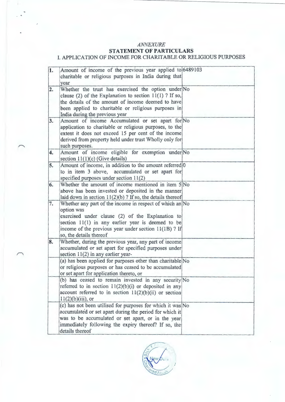### $ANNEXURE$

## **STATEMENT OF PARTICULARS**

## I. APPLICATION OF INCOME FOR CHARITABLE OR RELIGIOUS PURPOSES

| 1. | Amount of income of the previous year applied to 6489103<br>charitable or religious purposes in India during that<br>year                                                                                                                                               |  |
|----|-------------------------------------------------------------------------------------------------------------------------------------------------------------------------------------------------------------------------------------------------------------------------|--|
| 2. | Whether the trust has exercised the option under No<br>clause (2) of the Explanation to section $11(1)$ ? If so,<br>the details of the amount of income deemed to have<br>been applied to charitable or religious purposes in<br>India during the previous year         |  |
| 3. | Amount of income Accumulated or set apart for No<br>application to charitable or religious purposes, to the<br>extent it does not exceed 15 per cent of the income<br>derived from property held under trust Wholly only for<br>such purposes.                          |  |
| 4. | Amount of income eligible for exemption under No<br>section $11(1)(c)$ (Give details)                                                                                                                                                                                   |  |
| 5. | Amount of income, in addition to the amount referred 0<br>to in item 3 above, accumulated or set apart for<br>specified purposes under section $11(2)$                                                                                                                  |  |
| 6. | Whether the amount of income mentioned in item 5 No<br>above has been invested or deposited in the manner<br>laid down in section $11(2)(b)$ ? If so, the details thereof                                                                                               |  |
| 7. | Whether any part of the income in respect of which an No<br>option was<br>exercised under clause (2) of the Explanation to<br>section $11(1)$ in any earlier year is deemed to be<br>income of the previous year under section $11(1B)$ ? If<br>so, the details thereof |  |
| 8. | Whether, during the previous year, any part of income<br>accumulated or set apart for specified purposes under<br>section $11(2)$ in any earlier year-                                                                                                                  |  |
|    | (a) has been applied for purposes other than charitable No<br>or religious purposes or has ceased to be accumulated<br>or set apart for application thereto, or                                                                                                         |  |
|    | (b) has ceased to remain invested in any security No<br>referred to in section $11(2)(b)(i)$ or deposited in any<br>account referred to in section $11(2)(b)(ii)$ or section<br>$11(2)(b)(iii)$ , or                                                                    |  |
|    | (c) has not been utilised for purposes for which it was No<br>accumulated or set apart during the period for which it<br>was to be accumulated or set apart, or in the year<br>immediately following the expiry thereof? If so, the<br>details thereof                  |  |

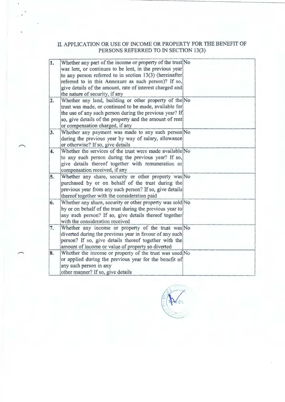## II. APPLICATION OR USE OF INCOME OR PROPERTY FOR THE BENEFIT OF PERSONS REFERRED TO IN SECTION 13(3)

| Whether any part of the income or property of the trust No |                                                                                                                                                                                                                                                                                                                                                                                                                                                                                                                                                                                                                                                                                                                                                                                                                                                                                                         |
|------------------------------------------------------------|---------------------------------------------------------------------------------------------------------------------------------------------------------------------------------------------------------------------------------------------------------------------------------------------------------------------------------------------------------------------------------------------------------------------------------------------------------------------------------------------------------------------------------------------------------------------------------------------------------------------------------------------------------------------------------------------------------------------------------------------------------------------------------------------------------------------------------------------------------------------------------------------------------|
|                                                            |                                                                                                                                                                                                                                                                                                                                                                                                                                                                                                                                                                                                                                                                                                                                                                                                                                                                                                         |
|                                                            |                                                                                                                                                                                                                                                                                                                                                                                                                                                                                                                                                                                                                                                                                                                                                                                                                                                                                                         |
|                                                            |                                                                                                                                                                                                                                                                                                                                                                                                                                                                                                                                                                                                                                                                                                                                                                                                                                                                                                         |
|                                                            |                                                                                                                                                                                                                                                                                                                                                                                                                                                                                                                                                                                                                                                                                                                                                                                                                                                                                                         |
|                                                            |                                                                                                                                                                                                                                                                                                                                                                                                                                                                                                                                                                                                                                                                                                                                                                                                                                                                                                         |
|                                                            |                                                                                                                                                                                                                                                                                                                                                                                                                                                                                                                                                                                                                                                                                                                                                                                                                                                                                                         |
|                                                            |                                                                                                                                                                                                                                                                                                                                                                                                                                                                                                                                                                                                                                                                                                                                                                                                                                                                                                         |
| the use of any such person during the previous year? If    |                                                                                                                                                                                                                                                                                                                                                                                                                                                                                                                                                                                                                                                                                                                                                                                                                                                                                                         |
|                                                            |                                                                                                                                                                                                                                                                                                                                                                                                                                                                                                                                                                                                                                                                                                                                                                                                                                                                                                         |
| or compensation charged, if any                            |                                                                                                                                                                                                                                                                                                                                                                                                                                                                                                                                                                                                                                                                                                                                                                                                                                                                                                         |
| Whether any payment was made to any such person No         |                                                                                                                                                                                                                                                                                                                                                                                                                                                                                                                                                                                                                                                                                                                                                                                                                                                                                                         |
| during the previous year by way of salary, allowance       |                                                                                                                                                                                                                                                                                                                                                                                                                                                                                                                                                                                                                                                                                                                                                                                                                                                                                                         |
|                                                            |                                                                                                                                                                                                                                                                                                                                                                                                                                                                                                                                                                                                                                                                                                                                                                                                                                                                                                         |
| Whether the services of the trust were made available No   |                                                                                                                                                                                                                                                                                                                                                                                                                                                                                                                                                                                                                                                                                                                                                                                                                                                                                                         |
| to any such person during the previous year? If so,        |                                                                                                                                                                                                                                                                                                                                                                                                                                                                                                                                                                                                                                                                                                                                                                                                                                                                                                         |
| give details thereof together with remuneration or         |                                                                                                                                                                                                                                                                                                                                                                                                                                                                                                                                                                                                                                                                                                                                                                                                                                                                                                         |
| compensation received, if any                              |                                                                                                                                                                                                                                                                                                                                                                                                                                                                                                                                                                                                                                                                                                                                                                                                                                                                                                         |
| Whether any share, security or other property was No       |                                                                                                                                                                                                                                                                                                                                                                                                                                                                                                                                                                                                                                                                                                                                                                                                                                                                                                         |
| purchased by or on behalf of the trust during the          |                                                                                                                                                                                                                                                                                                                                                                                                                                                                                                                                                                                                                                                                                                                                                                                                                                                                                                         |
| previous year from any such person? If so, give details    |                                                                                                                                                                                                                                                                                                                                                                                                                                                                                                                                                                                                                                                                                                                                                                                                                                                                                                         |
|                                                            |                                                                                                                                                                                                                                                                                                                                                                                                                                                                                                                                                                                                                                                                                                                                                                                                                                                                                                         |
|                                                            |                                                                                                                                                                                                                                                                                                                                                                                                                                                                                                                                                                                                                                                                                                                                                                                                                                                                                                         |
|                                                            |                                                                                                                                                                                                                                                                                                                                                                                                                                                                                                                                                                                                                                                                                                                                                                                                                                                                                                         |
|                                                            |                                                                                                                                                                                                                                                                                                                                                                                                                                                                                                                                                                                                                                                                                                                                                                                                                                                                                                         |
| with the consideration received                            |                                                                                                                                                                                                                                                                                                                                                                                                                                                                                                                                                                                                                                                                                                                                                                                                                                                                                                         |
| Whether any income or property of the trust was No         |                                                                                                                                                                                                                                                                                                                                                                                                                                                                                                                                                                                                                                                                                                                                                                                                                                                                                                         |
|                                                            |                                                                                                                                                                                                                                                                                                                                                                                                                                                                                                                                                                                                                                                                                                                                                                                                                                                                                                         |
|                                                            |                                                                                                                                                                                                                                                                                                                                                                                                                                                                                                                                                                                                                                                                                                                                                                                                                                                                                                         |
|                                                            |                                                                                                                                                                                                                                                                                                                                                                                                                                                                                                                                                                                                                                                                                                                                                                                                                                                                                                         |
| Whether the income or property of the trust was used No    |                                                                                                                                                                                                                                                                                                                                                                                                                                                                                                                                                                                                                                                                                                                                                                                                                                                                                                         |
| or applied during the previous year for the benefit of     |                                                                                                                                                                                                                                                                                                                                                                                                                                                                                                                                                                                                                                                                                                                                                                                                                                                                                                         |
| any such person in any                                     |                                                                                                                                                                                                                                                                                                                                                                                                                                                                                                                                                                                                                                                                                                                                                                                                                                                                                                         |
| other manner? If so, give details                          |                                                                                                                                                                                                                                                                                                                                                                                                                                                                                                                                                                                                                                                                                                                                                                                                                                                                                                         |
|                                                            | was lent, or continues to be lent, in the previous year<br>to any person referred to in section 13(3) (hereinafter<br>referred to in this Annexure as such person)? If so,<br>give details of the amount, rate of interest charged and<br>the nature of security, if any<br>Whether any land, building or other property of the No<br>trust was made, or continued to be made, available for<br>so, give details of the property and the amount of rent<br>or otherwise? If so, give details<br>thereof together with the consideration paid<br>Whether any share, security or other property was sold No<br>by or on behalf of the trust during the previous year to<br>any such person? If so, give details thereof together<br>diverted during the previous year in favour of any such<br>person? If so, give details thereof together with the<br>amount of income or value of property so diverted |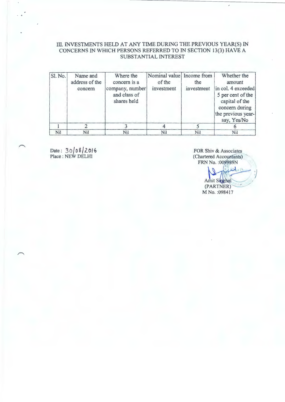### III. INVESTMENTS HELD AT ANY TIME DURING THE PREVIOUS YEAR(S) IN CONCERNS IN WHICH PERSONS REFERRED TO IN SECTION 13(3) HAVE A SUBSTANTIAL INTEREST

| Sl. No. | Name and       | Where the       | Nominal value Income from |            | Whether the        |
|---------|----------------|-----------------|---------------------------|------------|--------------------|
|         | address of the | concern is a    | of the                    | the        | amount             |
|         | concern        | company, number | investment                | investment | in col. 4 exceeded |
|         |                | and class of    |                           |            | 5 per cent of the  |
|         |                | shares held     |                           |            | capital of the     |
|         |                |                 |                           |            | concern during     |
|         |                |                 |                           |            | the previous year- |
|         |                |                 |                           |            | say, Yes/No        |
|         |                |                 |                           |            |                    |
| Nil     | Nil            | Nil             | Nil                       | Nil        | Nil                |

Date: 30 0 8 2016 Place : NEW DELHI

FOR Shiv & Associates (Chartered Accountants) FRN No. : 009989N

g/ w/ 1 2 1 Amit Singhal (PARTNER) M No. :098417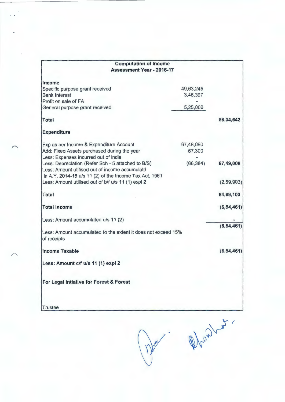| <b>Computation of Income</b>                                  |           |              |
|---------------------------------------------------------------|-----------|--------------|
| <b>Assessment Year - 2016-17</b>                              |           |              |
| Income                                                        |           |              |
| Specific purpose grant received                               | 49,63,245 |              |
| <b>Bank Interest</b>                                          | 3,46,397  |              |
| Profit on sale of FA                                          |           |              |
| General purpose grant received                                | 5,25,000  |              |
| <b>Total</b>                                                  |           | 58,34,642    |
| <b>Expenditure</b>                                            |           |              |
| Exp as per Income & Expenditure Account                       | 67,48,090 |              |
| Add: Fixed Assets purchased during the year                   | 67,300    |              |
| Less: Expenses incurred out of india                          |           |              |
| Less: Depreciation (Refer Sch - 5 attached to B/S)            | (66, 384) | 67,49,006    |
| Less: Amount utilised out of income accumulatd                |           |              |
| in A.Y. 2014-15 u/s 11 (2) of the Income Tax Act, 1961        |           |              |
| Less: Amount utilised out of b/f u/s 11 (1) expl 2            |           | (2, 59, 903) |
| <b>Total</b>                                                  |           | 64,89,103    |
| <b>Total Income</b>                                           |           | (6, 54, 461) |
| Less: Amount accumulated u/s 11 (2)                           |           |              |
| Less: Amount accumulated to the extent it does not exceed 15% |           | (6, 54, 461) |
| of receipts                                                   |           |              |
| <b>Income Taxable</b>                                         |           | (6, 54, 461) |
| Less: Amount c/f u/s 11 (1) expl 2                            |           |              |
| For Legal Intiative for Forest & Forest                       |           |              |
| <b>Trustee</b>                                                |           |              |

Mantes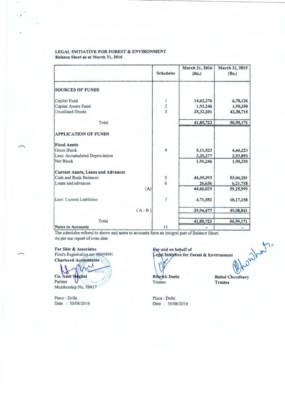#### LEGAL INITIATIVE **FOR** FOREST & ENVIRONMENT Balance Sheet as at March 31, 2016

|                                           | <b>Schedules</b> | March 31, 2016<br>(Rs.) | March 31, 2015<br>(Rs.) |
|-------------------------------------------|------------------|-------------------------|-------------------------|
| <b>SOURCES OF FUNDS</b>                   |                  |                         |                         |
| Capital Fund                              | $\mathbf{1}$     | 14,62,276               | 6,70,126                |
| Capital Assets Fund                       | $\frac{2}{3}$    | 1,91,246                | 1,90,330                |
| <b>Unutilised Grants</b>                  |                  | 25,32,201               | 42,38,715               |
| Total                                     |                  | 41,85,723               | 50,99,171               |
| <b>APPLICATION OF FUNDS</b>               |                  |                         |                         |
| <b>Fixed Assets</b>                       |                  |                         |                         |
| <b>Gross Block</b>                        | $\overline{4}$   | 5,11,523                | 4,44,223                |
| Less: Accumulated Depreciation            |                  | 3,20,277                | 2,53,893                |
| <b>Net Block</b>                          |                  | 1,91,246                | 1,90,330                |
| <b>Current Assets, Loans and Advances</b> |                  |                         |                         |
| <b>Cash and Bank Balances</b>             | $\frac{5}{6}$    | 44,39,393               | 53,04,281               |
| Loans and advances                        |                  | 26,636                  | 6,21,718                |
|                                           | (A)              | 44,66,029               | 59,25,999               |
| Less: Current Liabilities                 | $\overline{7}$   | 4,71,552                | 10,17,158               |
|                                           | $(A - B)$        | 39,94,477               | 49,08,841               |
| Total                                     |                  | 41,85,723               | 50,99,171               |
| <b>Notes to Accounts</b>                  | 11               |                         |                         |

The schedules refered to above and notes to accounts form an integral part of Balance Sheet. As per our report of even date

**For Shiv** & **Associates** 

Firm's Registration no: 009989N **Chartered Accountants** 

 $\left(\bigvee_{i=1}^{i}\right)$ 

Partner Ca. Amit Surghal Membership No. 98417

Place : Delhi Date : 30/08/2016

For and on behalf of<br>
Legal Initiative for Forest & Environment<br>
Ribyck Dutta<br>
Rahul Choudhary

Trustee

Rahul Choudhary Trustee

Place : Delhi Date : 30/08/2016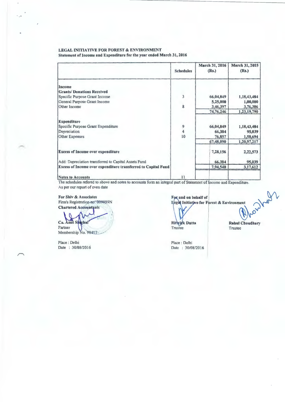## LEGAL INITIATIVE FOR FOREST & ENVIRONMENT

Statement of Income and Expenditure for the year ended March 31, 2016

|                                                               | <b>Schedules</b>                      | March 31, 2016<br>(Rs.) | March 31, 2015<br>(Rs.) |
|---------------------------------------------------------------|---------------------------------------|-------------------------|-------------------------|
| Income                                                        |                                       |                         |                         |
| <b>Grants/Donations Received</b>                              |                                       |                         |                         |
| Specific Purpose Grant Income                                 | $\overline{\mathbf{3}}$               | 66,04,849               | 1,18,43,484             |
| General Purpose Grant Income                                  |                                       | 5,25,000                | 1,00,000                |
| Other Income                                                  | 8                                     | 3,46,397                | 3,76,306                |
|                                                               |                                       | 74,76,246               | 1,23,19,790             |
| <b>Expenditure</b>                                            |                                       |                         |                         |
| Specific Purpose Grant Expenditure                            |                                       | 66,04,849               | 1,18,43,484             |
| Depreciation                                                  | $\begin{array}{c} 9 \\ 4 \end{array}$ | 66,384                  | 95,039                  |
| <b>Other Expenses</b>                                         | 10                                    | 76,857                  | 1,58,694                |
|                                                               |                                       | 67,48,090               | 1,20,97,217             |
| <b>Excess of Income over expenditure</b>                      |                                       | 7,28,156                | 2,22,573                |
| Add: Depreciation transferred to Capital Assets Fund          |                                       | 66,384                  | 95,039                  |
| Excess of Income over expenditure transferred to Capital Fund |                                       | 7,94,540                | 3,17,612                |
| <b>Notes to Accounts</b>                                      | 11                                    |                         |                         |

The schedules refered to above and notes to accounts form an integral part of Statement of Income and Expenditure. As per our report of even date

**For Shiv** & **Associates**  Firm's Registration-no: 009989N **Chartered Accountants** 

Ca. Amit Singhal Partner Membership No. 98417-

Place : Delhi Date : 30/08/2016 **F and on behalf of** ~ I ,, **1nm,** . • **fo, F «•t** & **En,;,on~** ') **<sup>y</sup>**

Ritwick Dutta Trustee Trustee

Place : Delhi Date : 30/08/2016 **Rahul Choudhary**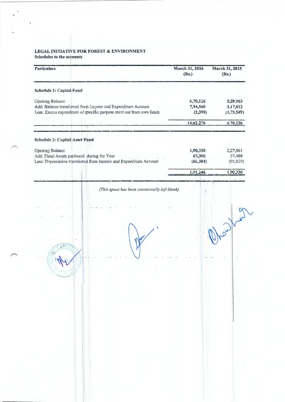# LEGAL INITIATIVE FOR FOREST & ENVIRONMENT<br>Schedules to the accounts

| March 31, 2016<br>(Rs.)         | March 31, 2015<br>(Rs.)                        |
|---------------------------------|------------------------------------------------|
|                                 |                                                |
| 6,70,126<br>7,94,540<br>(2,390) | 5,28,063<br>3,17,612<br>(1,75,549)             |
| 14,62,276                       | 6.70,126                                       |
|                                 |                                                |
| 1,90,330<br>67,300<br>(66, 384) | 2,27,961<br>57,408<br>(95,059)                 |
| 1,91,246                        | 1,90,330                                       |
|                                 |                                                |
|                                 | (This space has been intentionally left blank) |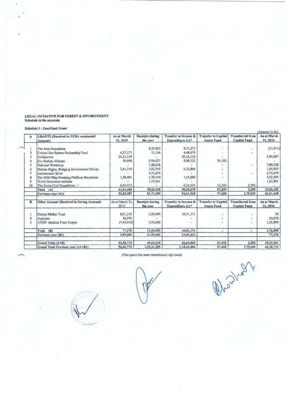## LEGAL INITIATIVE FOR FOREST & ENVIRONMENT<br>Schedule to the accounts

#### Schedule 3 : Unutilised Grant

 $\overline{a}$ 

|                |                                            |                        |                                    |                                                     |                                                  |                                                | (Amount in Rs)          |
|----------------|--------------------------------------------|------------------------|------------------------------------|-----------------------------------------------------|--------------------------------------------------|------------------------------------------------|-------------------------|
| A              | <b>GRANTS</b> (Received in FCRA nominated  | As at March            | <b>Receipts during</b>             | <b>Transfer to Income &amp;</b>                     | <b>Transfer to Capital</b>                       | <b>Transferred</b> from                        | As at March             |
|                | Account)                                   | 31, 2015               | the year                           | Expenditure A/c*                                    | <b>Assets Fund</b>                               | <b>Capital Fund</b>                            | 31, 2016                |
|                | The Asia Foundation                        |                        | 8,29,800                           | 8,67,271                                            |                                                  |                                                | (37, 471)               |
|                | Critical Eco System Partnership Fund       | 4,37,573               | 11,106                             | 4,48,679                                            |                                                  |                                                |                         |
|                | Earthjustice                               | 26,51,139              |                                    | 20,56,132                                           |                                                  |                                                | 5,95,007                |
|                | Eco System Alliance                        | 59,998                 | 9,94,627                           | 9,98,525                                            | 56,100                                           |                                                |                         |
|                | National Workshop                          |                        | 7,88,638                           |                                                     |                                                  |                                                | 7,88,638                |
| 6              | Human Rights, Bridging Environment Divide  | 2,41,319               | 3,02,500                           | 4,33,866                                            |                                                  |                                                | 1,09,953                |
|                | International River                        |                        | 4,73,479                           |                                                     |                                                  |                                                | 4,73,479                |
| 8              | The NGO Ship Breaking Platform Secretariat | 1,28,401               | 3,59,194                           | 1,65,000                                            |                                                  |                                                | 3,22,595                |
| 9              | World Resources Institute                  |                        | 1,03,901                           |                                                     |                                                  |                                                | 1,03,901                |
| 10             | The Sierra Club Foundation - 1             | 6,43,015               |                                    | 6,34,205                                            | 11,200                                           | 2,390                                          |                         |
|                | Total (A)                                  | 41,61,445              | 38,63,245                          | 56,03,678                                           | 67,300                                           | 2.390                                          | 23,56,102               |
|                | Previous year (A1)                         | 53,33,087              | 81,71,285                          | 94,61,068                                           | 57,408                                           | 1,75,549                                       | 41,61,445               |
| B              | Other Account (Received in Saving Account) | As at March 31<br>2015 | <b>Receipts during</b><br>the year | <b>Transfer to Income &amp;</b><br>Expenditure A/c* | <b>Transfer to Capital</b><br><b>Assets Fund</b> | <b>Transferred</b> from<br><b>Capital Fund</b> | As at March<br>31, 2016 |
|                | Duleep Mathai Trust                        | 8,01,210               | 2,00,000                           | 10,01,171                                           |                                                  |                                                | 39                      |
| $\overline{2}$ | Arghyam                                    | 20,070                 |                                    |                                                     |                                                  |                                                | 20,070                  |
| 3              | UNDP-Medical Plant Project                 | (7,44,010)             | 9,00,000                           |                                                     | $\sim$                                           |                                                | 1,55,990                |
|                | Total (B)                                  | 77,270                 | 11,00,000                          | 10,01,171                                           | $\blacksquare$                                   |                                                | 1,76,099                |
|                | Previous year (B1)                         | 3,09,685               | 21,50,000                          | 23,82,416                                           |                                                  |                                                | 77,270                  |
|                | Grand Total (A+B)                          | 42,38,715              | 49,63,245                          | 66,04,849                                           | 67,300                                           | 2,390                                          | 25,32,201               |
|                | Grand Total Previous year (A1+B1)          | 56,42,773              | 1,03,21,285                        | 1,18,43,484                                         | 57,408                                           | 1,75,549                                       | 42,38,715               |

#### (This space has been intentionally left blank)

Rhayhar M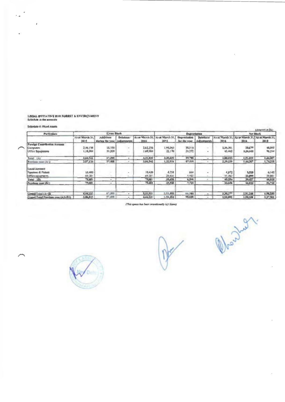LEGAL INITIATIVE FOR FORMST & ENVIRCNMENT<br>Schedate to the accounts

Schreier 4: Munt Assets

∕

 $\overline{a}$ 

 $\sim$   $_{\rm{orb}}$ 

|                                          |                         |                                                    |           |                |                                                     |              |                             |                                                          |              | LACONTINER |
|------------------------------------------|-------------------------|----------------------------------------------------|-----------|----------------|-----------------------------------------------------|--------------|-----------------------------|----------------------------------------------------------|--------------|------------|
| <b>Furtherings</b>                       | <b>Green Storik</b>     |                                                    |           |                | Depreciation                                        |              |                             | Net Mock                                                 |              |            |
|                                          | Alt an Minesh 31.<br>神话 | <b>Additions</b><br>dramage the paper LAdison com- | Deletions | 3938           | As at March 30, 4p at March 30, Departments<br>2015 | ber the vega | Deletions'<br>A Continents. | As at Macch 31. As as blasch 31. As at Maeth 31.<br>3016 | 前風           | 期は         |
| <b>Formet Coordination Annual</b>        |                         |                                                    |           |                |                                                     |              |                             |                                                          |              |            |
| <b>Сединия</b>                           | 2.46,198                | <b>ML100</b>                                       |           | 212,256        | 1,91,015                                            | 38,510       |                             | 2,36,301                                                 | 20477        | 46,013     |
| Отес природно                            | L.TRUMA                 | 月期                                                 |           | 100588         | 互降                                                  | 21,272       | m.                          | 43,442                                                   | цкла         | <b>NGH</b> |
| Tetal (A)                                | 144,542                 | 646.TB                                             |           | 4.30,042       | <b>LIGRIE</b>                                       | 病者           |                             | <b>LELTI</b>                                             | 821,889      | 0,0.307    |
| Previews your (A)                        | <b>SPAN</b>             | 57,898                                             |           | <b>Los Set</b> | 1.32.916                                            | 87.819       | $\overline{\phantom{a}}$    | 3,10,235                                                 | <b>Luigh</b> | 1,74,318   |
| Панні Ауреалі                            |                         |                                                    |           |                |                                                     |              |                             |                                                          |              |            |
| <b>Tuesday: &amp; Folkey</b>             | (4.400)                 |                                                    |           | 10,439         | 4,250                                               | 944          |                             | 机时空                                                      | 5,520        | 6,142      |
| Harrison departments                     | 学工                      |                                                    |           | 69,381         | 20,62                                               | 5,782        |                             | 15 起                                                     | 33,899       | 10 加1      |
| Tetal IRO                                | 5000                    | $\sim$                                             |           | <b>TABLE</b>   | Дам                                                 | 1,500        |                             | 45.154                                                   | 39,427       | 44,033     |
| <b>Proclass year (RI)</b>                | <b>19,681</b>           | ÷                                                  |           | <b>PLAN</b>    | 25,938                                              | 1,720        |                             | 33,680                                                   | 44,8723      | 风湿         |
| Grand Total (A+4)                        | 4.44.773                | 67,300                                             |           | 3,51,521       | <b>MALPRD</b>                                       | 66,388       |                             | <b>SURTH</b>                                             | 他信度』         | 0,70,30    |
| <b>Greed Tend Previous sync 141: Ris</b> | 上班进行                    | 57,498                                             |           | 4,44.221       | <b>RAIM</b>                                         | 制成师          |                             | 2,53,293                                                 | 1,94,539     | 2,17,980   |

(This space has been intentionally left blank)



New July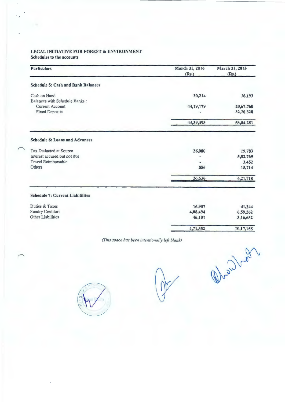#### LEGAL INITIATIVE FOR FOREST & ENVIRONMENT Schedules to the accounts

| March 31, 2016 | March 31, 2015                   |
|----------------|----------------------------------|
|                | (Rs.)                            |
|                |                                  |
| 20,214         | 16,193                           |
|                |                                  |
|                | 20,67,760                        |
|                | 32,20,328                        |
| 44,39,393      | 53,04,281                        |
|                |                                  |
| 26,080         | 19,783                           |
|                | 5,82,769                         |
|                | 3,452                            |
| 556            | 15,714                           |
| 26,636         | 6,21,718                         |
|                |                                  |
| 16,957         | 41,244                           |
| 4,08,494       | 6,59,262                         |
| 46,101         | 3,16,652                         |
|                | 10,17,158                        |
|                | (Rs.)<br>44, 19, 179<br>4,71,552 |

*(This space has been intentionaliy* /~ft *blank)* 



Mental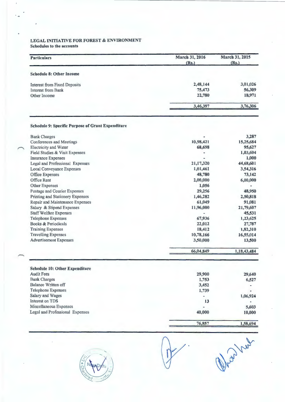#### **LEGAL INITIATIVE FOR FOREST** & **ENVIRONMENT Schedules to the accounts**

| <b>Particulars</b>                  | March 31, 2016<br>(Rs.) | March 31, 2015<br>(Rs.) |
|-------------------------------------|-------------------------|-------------------------|
| <b>Schedule 8: Other Income</b>     |                         |                         |
| <b>Interest from Fixed Deposits</b> | 2,48,144                | 3,01,026                |
| Interest from Bank                  | 75,473                  | 56,309                  |
| Other Income                        | 22,780                  | 18,971                  |
|                                     | 3,46,397                | 3,76,306                |

## **Schedule 9: Specific Purpose of Grant Expenditure**

| <b>Bank Charges</b>                     |           | 3,287       |
|-----------------------------------------|-----------|-------------|
| <b>Conferences and Meetings</b>         | 10,98,421 | 15,25,684   |
| <b>Electricity and Water</b>            | 68,698    | 95,627      |
| Field Studies & Visit Expenses          |           | 1,03,604    |
| <b>Insurance Expenses</b>               |           | 1,000       |
| Legal and Professional Expenses         | 21,17,320 | 44,68,601   |
| <b>Local Conveyance Expenses</b>        | 1,01,461  | 3,54,316    |
| Office Expenses                         | 48,780    | 73,142      |
| Office Rent                             | 2,00,000  | 6,00,000    |
| <b>Other Expenses</b>                   | 1,056     |             |
| Postage and Courier Expenses            | 29,256    | 48,950      |
| <b>Printing and Stationery Expenses</b> | 1,46,282  | 2,50,818    |
| Repair and Maintenance Expenses         | 61,049    | 91,081      |
| Salary & Stipend Expenses               | 11,96,000 | 21,79,607   |
| <b>Staff Welfare Expenses</b>           |           | 45,531      |
| <b>Telephone Expenses</b>               | 67,936    | 1,23,625    |
| Books & Periodicals                     | 22,012    | 27,787      |
| <b>Training Expenses</b>                | 18,412    | 1,82,310    |
| <b>Travelling Expenses</b>              | 10,78,166 | 16,55,014   |
| <b>Advertisement Expenses</b>           | 3,50,000  | 13,500      |
|                                         | 66,04,849 | 1,18,43,484 |
| <b>Schedule 10: Other Expenditure</b>   |           |             |
| <b>Audit Fees</b>                       | 29,900    | 29,640      |
| <b>Bank Charges</b>                     | 1,753     | 6,527       |
| <b>Balance Written off</b>              | 3,452     |             |
| <b>Telephone Expenses</b>               | 1,739     |             |
| Salary and Wages                        |           | 1,06,924    |
| Interest on TDS                         | 13        |             |
| Miscellaneous Expenses                  |           | 5,603       |
| Legal and Professional Expenses         | 40,000    | 10,000      |
|                                         | 76,857    | 1,58,694    |

**76,857** 



Oha hut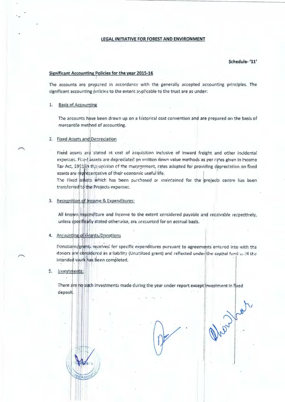#### **LEGAL INITIATIVE FOR FOREST AND ENVIRONMENT**

Schedule-'11'

#### **Significant Accounting Policies for the year 2015-16**

The accounts are prepared in accordance with the generally accepted accounting principles. The significant accounting policies to the extent applicable to the trust are as under:

#### **Basis of Accounting**  $1.$

The accounts have been drawn up on a historical cost convention and are prepared on the basis of mercantile method of accounting.

#### 2. Fixed Assets and Depreciation

Fixed assets are stated at cost of acquisition inclusive of inward freight and other incidental expenses. Fixed assets are depreciated on written down value methods as per rates given in Income Tax Act, 1951 lin the polition of the management, rates adopted for providing depreciation on fixed assets are representative of their economic useful life.

The Fixed assets which has been purchased or maintained for the projects centre has been transferred to the Projects expenses.

#### 3. Recognition of Income & Expenditures:

All known expenditure and income to the extent considered payable and receivable respectively, unless specifically stated otherwise, are accounted for on accrual basis.

#### 4. Accounting of Grants/Donations

ediacco

Donations/grant: received for specific expenditures pursuant to agreements entered into with the donors are considered as a liability (Unutilized grant) and reflected under the capital fund antil the intended work has been completed.

#### 長. **Investments:**

There are ho such investments made during the year under report except investment in fixed deposit.

May July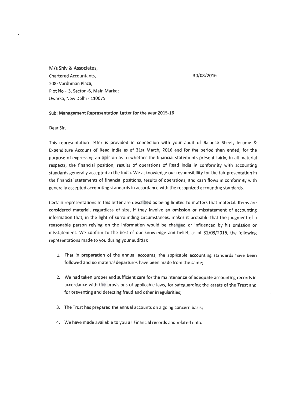M/s Shiv & Associates, Chartered Accountants, 208- Vardhman Plaza, Plot No - 3, Sector -6, Main Market Dwarka, New Delhi - 110075

#### 30/08/2016

#### Sub: Management Representation Letter for the **year 2015-16**

Dear Sir,

This representation letter is provided in connection with your audit of Balance Sheet, Income & Expenditure Account of Read India as of 31st March, 2016 and for the period then ended, for the purpose of expressing an opinion as to whether the financial statements present fairly, in all material respects, the financial position, results of operations of Read India in conformity with accounting standards generally accepted in the India. We acknowledge our responsibility for the fair presentation in the financial statements of financial positions, results of operations, and cash flows in conformity with generally accepted accounting standards in accordance with the recognized accounting standards.

Certain representations in this letter are described as being limited to matters that material. Items are considered material, regardless of size, if they involve an omission or misstatement of accounting information that, in the light of surrounding circumstances, makes it probable that the judgment of a reasonable person relying on the information would be changed or influenced by his omission or misstatement. We confirm to the best of our knowledge and belief, as of 31/03/2015, the following representations made to you during your audit(s):

- 1. That in preparation of the annual accounts, the applicable accounting standards have been followed and no material departures have been made from the same;
- 2. We had taken proper and sufficient care for the maintenance of adequate accounting records in accordance with the provisions of applicable laws, for safeguarding the assets of the Trust and for preventing and detecting fraud and other irregularities;
- 3. The Trust has prepared the annual accounts on a going concern basis;
- 4. We have made available to you all Financial records and related data.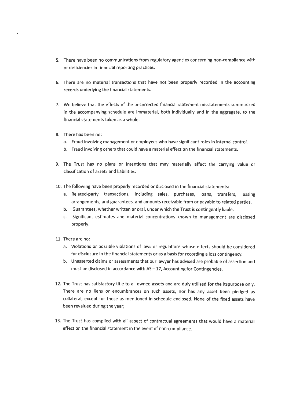- 5. There have been no communications from regulatory agencies concerning non-compliance with or deficiencies in financial reporting practices.
- 6. There are no material transactions that have not been properly recorded in the accounting records underlying the financial statements.
- 7. We believe that the effects of the uncorrected financial statement misstatements summarized in the accompanying schedule are immaterial, both individually and in the aggregate, to the financial statements taken as a whole.
- 8. There has been no:
	- a. Fraud involving management or employees who have significant roles in internal control.
	- b. Fraud involving others that could have a material effect on the financial statements.
- 9. The Trust has no plans or intentions that may materially affect the carrying value or classification of assets and liabilities.
- 10. The following have been properly recorded or disclosed in the financial statements:
	- a. Related-party transactions, including sales, purchases, loans, transfers, leasing arrangements, and guarantees, and amounts receivable from or payable to related parties.
	- b. Guarantees, whether written or oral, under which the Trust is contingently liable.
	- c. Significant estimates and material concentrations known to management are disclosed properly.
- 11. There are no:
	- a. Violations or possible violations of laws or regulations whose effects should be considered for disclosure in the financial statements or as a basis for recording a loss contingency.
	- b. Unasserted claims or assessments that our lawyer has advised are probable of assertion and must be disclosed in accordance with  $AS-17$ , Accounting for Contingencies.
- 12. The Trust has satisfactory title to all owned assets and are duly utilised for the itspurpose only. There are no liens or encumbrances on such assets, nor has any asset been pledged as collateral, except for those as mentioned in schedule enclosed. None of the fixed assets have been revalued during the year;
- 13. The Trust has complied with all aspect of contractual agreements that would have a material effect on the financial statement in the event of non-compliance.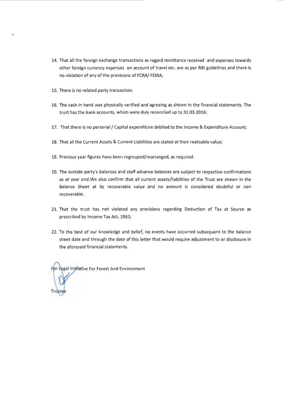- 14. That all the foreign exchange transactions as regard remittance received and expenses towards other foreign currency expenses on account of travel etc. are as per RBI guidelines and there is no violation of any of the provisions of FCRA/ FEMA;
- 15. There is no related party transaction.
- 16. The cash in hand was physically verified and agreeing as shown in the financial statements. The trust has the bank accounts, which were duly reconciled up to 31.03.2016;
- 17. That there is no personal/ Capital expenditure debited to the Income & Expenditure Account;
- 18. That all the Current Assets & Current Liabilities are stated at their realisable value;
- 19. Previous year figures have been regrouped/rearranged, as required.
- 20. The outside party's balances and staff advance balances are subject to respective confirmations as at year end.We also confirm that all current assets/liabilities of the Trust are shown in the Balance Sheet at its recoverable value and no amount is considered doubtful or non recoverable.
- 21. That the trust has not violated any provisions regarding Deduction of Tax at Source as prescribed by Income Tax Act, 1961;
- 22. To the best of our knowledge and belief, no events have occurred subsequent to the balance sheet date and through the date of this letter that would require adjustment to or disclosure in the aforesaid financial statements.

For Legal Initiative For Forest And Environment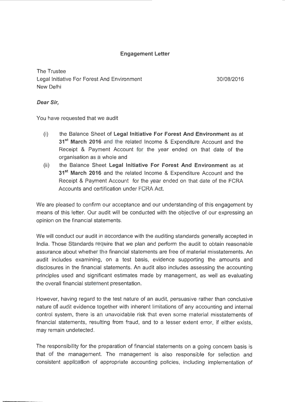### **Engagement Letter**

The Trustee Legal Initiative For Forest And Environment New Delhi

30/08/2016

### **Dear Sir,**

You have requested that we audit

- (i) the Balance Sheet of **Legal Initiative For Forest And Environment** as at **31 st March 2016** and the related Income & Expenditure Account and the Receipt & Payment Account for the year ended on that date of the organisation as a whole and
- (ii) the Balance Sheet **Legal Initiative For Forest And Environment** as at **31 st March 2016** and the related Income & Expenditure Account and the Receipt & Payment Account for the year ended on that date of the FCRA Accounts and certification under FCRA Act.

We are pleased to confirm our acceptance and our understanding of this engagement by means of this letter. Our audit will be conducted with the objective of our expressing an opinion on the financial statements.

We will conduct our audit in accordance with the auditing standards generally accepted in India. Those Standards require that we plan and perform the audit to obtain reasonable assurance about whether the financial statements are free of material misstatements. An audit includes examining, on a test basis, evidence supporting the amounts and disclosures in the financial statements. An audit also includes assessing the accounting principles used and significant estimates made by management, as well as evaluating the overall financial statement presentation.

However, having regard to the test nature of an audit, persuasive rather than conclusive nature of audit evidence together with inherent limitations of any accounting and internal control system, there is an unavoidable risk that even some material misstatements of financial statements, resulting from fraud, and to a lesser extent error, if either exists, may remain undetected.

The responsibility for the preparation of financial statements on a going concern basis is that of the management. The management is also responsible for selection and consistent application of appropriate accounting policies, including implementation of